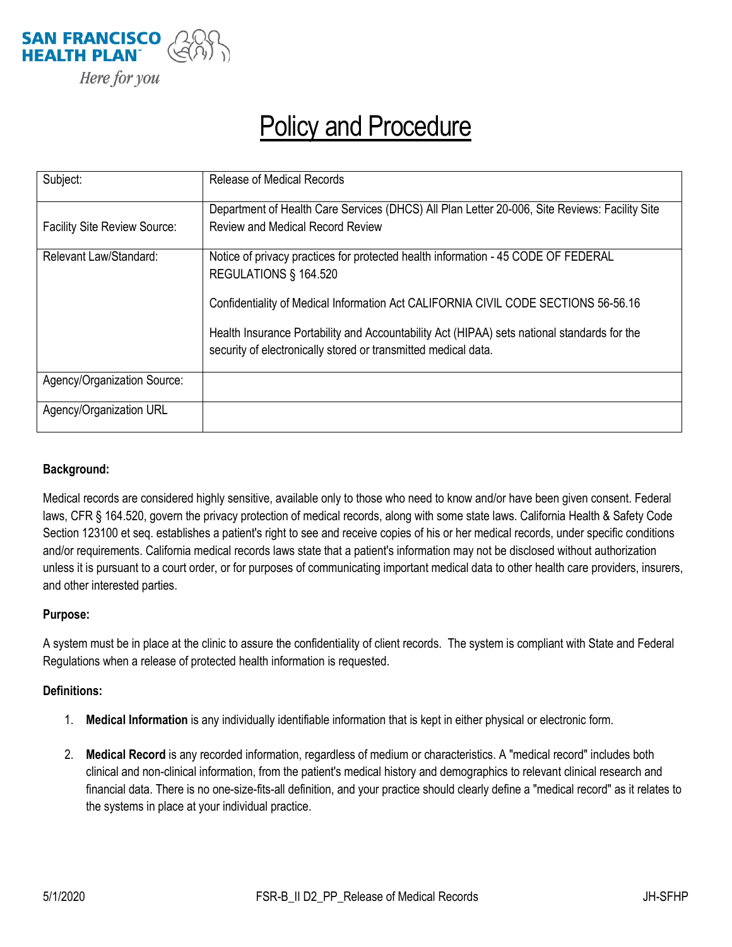

# Policy and Procedure

| Subject:                            | <b>Release of Medical Records</b>                                                                                                                             |  |
|-------------------------------------|---------------------------------------------------------------------------------------------------------------------------------------------------------------|--|
|                                     | Department of Health Care Services (DHCS) All Plan Letter 20-006, Site Reviews: Facility Site                                                                 |  |
| <b>Facility Site Review Source:</b> | <b>Review and Medical Record Review</b>                                                                                                                       |  |
| Relevant Law/Standard:              | Notice of privacy practices for protected health information - 45 CODE OF FEDERAL<br>REGULATIONS § 164.520                                                    |  |
|                                     | Confidentiality of Medical Information Act CALIFORNIA CIVIL CODE SECTIONS 56-56.16                                                                            |  |
|                                     | Health Insurance Portability and Accountability Act (HIPAA) sets national standards for the<br>security of electronically stored or transmitted medical data. |  |
| Agency/Organization Source:         |                                                                                                                                                               |  |
| Agency/Organization URL             |                                                                                                                                                               |  |

#### **Background:**

Medical records are considered highly sensitive, available only to those who need to know and/or have been given consent. Federal laws, CFR § 164.520, govern the privacy protection of medical records, along with some state laws. California Health & Safety Code Section 123100 et seq. establishes a patient's right to see and receive copies of his or her medical records, under specific conditions and/or requirements. California medical records laws state that a patient's information may not be disclosed without authorization unless it is pursuant to a court order, or for purposes of communicating important medical data to other health care providers, insurers, and other interested parties.

#### **Purpose:**

A system must be in place at the clinic to assure the confidentiality of client records. The system is compliant with State and Federal Regulations when a release of protected health information is requested.

#### **Definitions:**

- 1. **Medical Information** is any individually identifiable information that is kept in either physical or electronic form.
- 2. **Medical Record** is any recorded information, regardless of medium or characteristics. A "medical record" includes both clinical and non-clinical information, from the patient's medical history and demographics to relevant clinical research and financial data. There is no one-size-fits-all definition, and your practice should clearly define a "medical record" as it relates to the systems in place at your individual practice.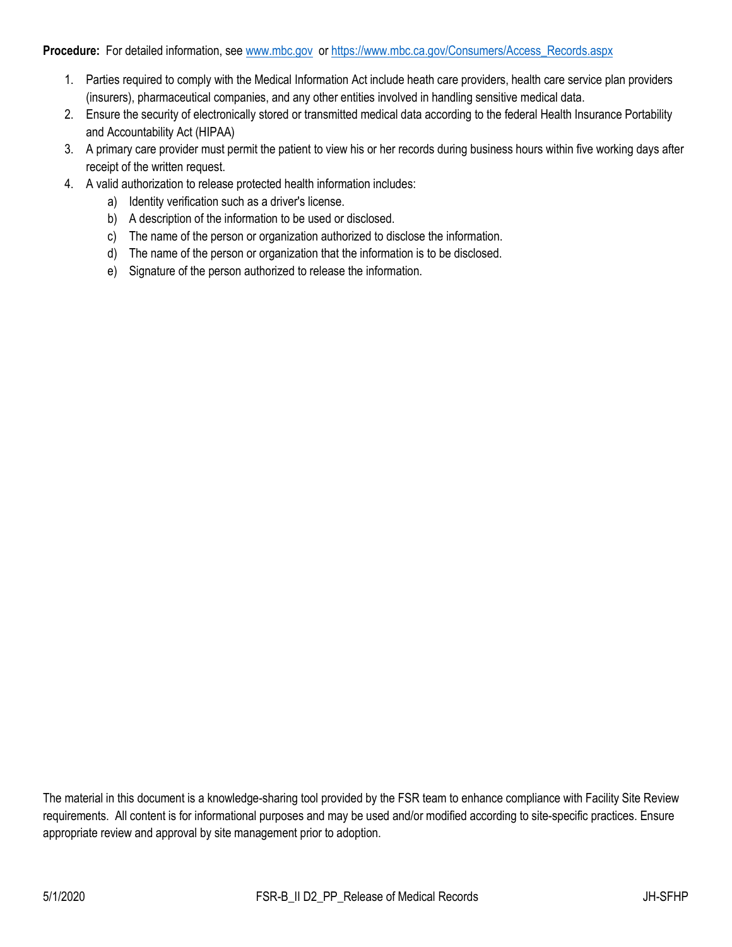#### **Procedure:** For detailed information, se[e www.mbc.gov](http://www.mbc.gov/) or [https://www.mbc.ca.gov/Consumers/Access\\_Records.aspx](https://www.mbc.ca.gov/Consumers/Access_Records.aspx)

- 1. Parties required to comply with the Medical Information Act include heath care providers, health care service plan providers (insurers), pharmaceutical companies, and any other entities involved in handling sensitive medical data.
- 2. Ensure the security of electronically stored or transmitted medical data according to the federal Health Insurance Portability and Accountability Act (HIPAA)
- 3. A primary care provider must permit the patient to view his or her records during business hours within five working days after receipt of the written request.
- 4. A valid authorization to release protected health information includes:
	- a) Identity verification such as a driver's license.
	- b) A description of the information to be used or disclosed.
	- c) The name of the person or organization authorized to disclose the information.
	- d) The name of the person or organization that the information is to be disclosed.
	- e) Signature of the person authorized to release the information.

The material in this document is a knowledge-sharing tool provided by the FSR team to enhance compliance with Facility Site Review requirements. All content is for informational purposes and may be used and/or modified according to site-specific practices. Ensure appropriate review and approval by site management prior to adoption.